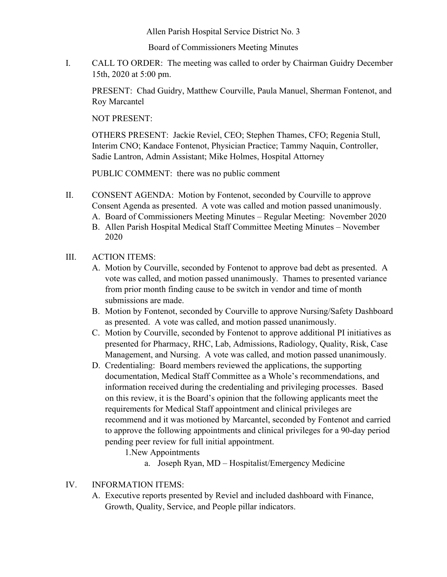Allen Parish Hospital Service District No. 3

Board of Commissioners Meeting Minutes

I. CALL TO ORDER: The meeting was called to order by Chairman Guidry December 15th, 2020 at 5:00 pm.

PRESENT: Chad Guidry, Matthew Courville, Paula Manuel, Sherman Fontenot, and Roy Marcantel

NOT PRESENT:

OTHERS PRESENT: Jackie Reviel, CEO; Stephen Thames, CFO; Regenia Stull, Interim CNO; Kandace Fontenot, Physician Practice; Tammy Naquin, Controller, Sadie Lantron, Admin Assistant; Mike Holmes, Hospital Attorney

PUBLIC COMMENT: there was no public comment

- II. CONSENT AGENDA: Motion by Fontenot, seconded by Courville to approve Consent Agenda as presented. A vote was called and motion passed unanimously.
	- A. Board of Commissioners Meeting Minutes Regular Meeting: November 2020
	- B. Allen Parish Hospital Medical Staff Committee Meeting Minutes November 2020

## III. ACTION ITEMS:

- A. Motion by Courville, seconded by Fontenot to approve bad debt as presented. A vote was called, and motion passed unanimously. Thames to presented variance from prior month finding cause to be switch in vendor and time of month submissions are made.
- B. Motion by Fontenot, seconded by Courville to approve Nursing/Safety Dashboard as presented. A vote was called, and motion passed unanimously.
- C. Motion by Courville, seconded by Fontenot to approve additional PI initiatives as presented for Pharmacy, RHC, Lab, Admissions, Radiology, Quality, Risk, Case Management, and Nursing. A vote was called, and motion passed unanimously.
- D. Credentialing: Board members reviewed the applications, the supporting documentation, Medical Staff Committee as a Whole's recommendations, and information received during the credentialing and privileging processes. Based on this review, it is the Board's opinion that the following applicants meet the requirements for Medical Staff appointment and clinical privileges are recommend and it was motioned by Marcantel, seconded by Fontenot and carried to approve the following appointments and clinical privileges for a 90-day period pending peer review for full initial appointment.

1.New Appointments

a. Joseph Ryan, MD – Hospitalist/Emergency Medicine

## IV. INFORMATION ITEMS:

A. Executive reports presented by Reviel and included dashboard with Finance, Growth, Quality, Service, and People pillar indicators.